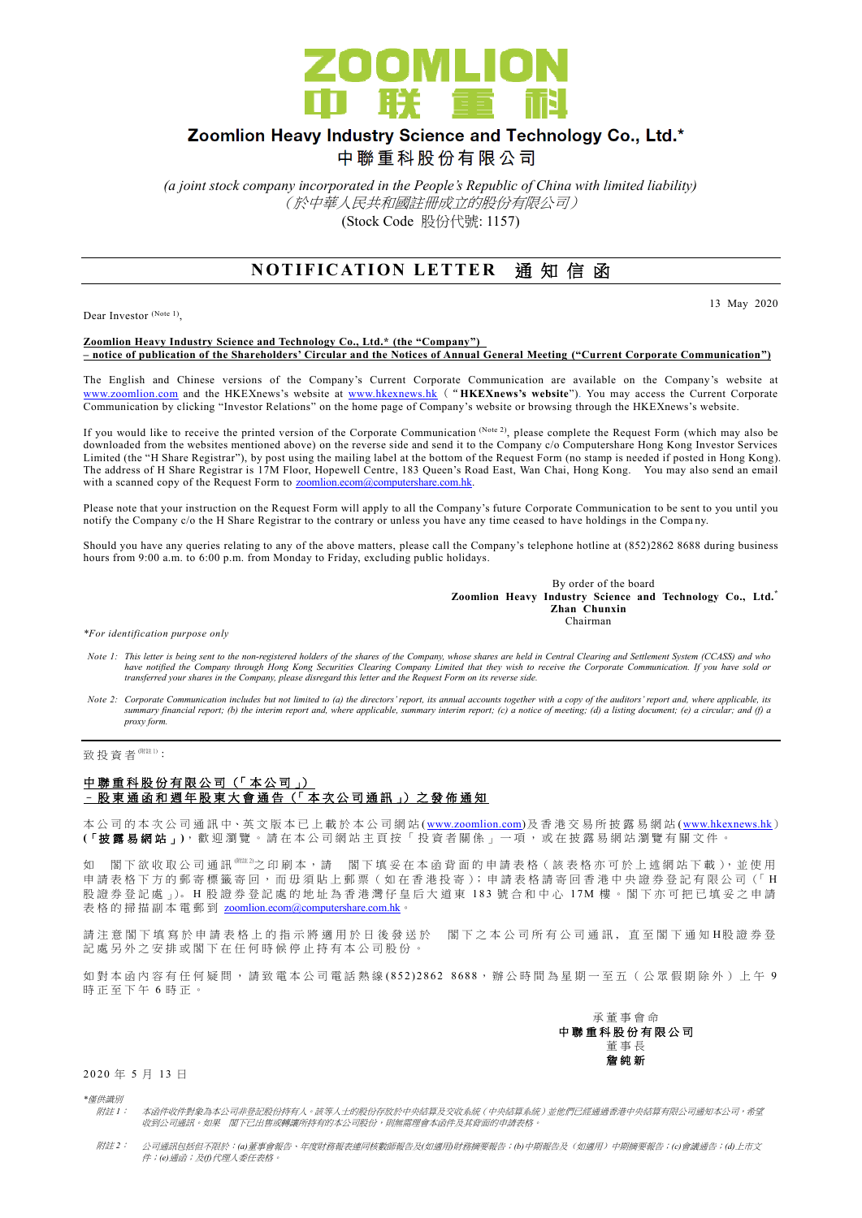

## Zoomlion Heavy Industry Science and Technology Co., Ltd.\*

中聯重科股份有限公司

*(a joint stock company incorporated in the People's Republic of China with limited liability)* (於中華人民共和國註冊成立的股份有限公司) (Stock Code 股份代號: 1157)

## **NOTIFICATION LETTER 通知信函**

Dear Investor (Note 1),

13 May 2020

## **Zoomlion Heavy Industry Science and Technology Co., Ltd.\* (the "Company") – notice of publication of the Shareholders' Circular and the Notices of Annual General Meeting ("Current Corporate Communication")**

The English and Chinese versions of the Company's Current Corporate Communication are available on the Company's website at [www.zoomlion.com](http://www.zoomlion.com/) and the HKEXnews's website at [www.hkexnews.hk](http://www.hkexnews.hk/) ("**HKEXnews's website**"). You may access the Current Corporate Communication by clicking "Investor Relations" on the home page of Company's website or browsing through the HKEXnews's website.

If you would like to receive the printed version of the Corporate Communication (Note 2), please complete the Request Form (which may also be downloaded from the websites mentioned above) on the reverse side and send it to the Company c/o Computershare Hong Kong Investor Services Limited (the "H Share Registrar"), by post using the mailing label at the bottom of the Request Form (no stamp is needed if posted in Hong Kong). The address of H Share Registrar is 17M Floor, Hopewell Centre, 183 Queen's Road East, Wan Chai, Hong Kong. You may also send an email with a scanned copy of the Request Form to [zoomlion.ecom@computershare.com.hk.](mailto:zoomlion.ecom@computershare.com.hk)

Please note that your instruction on the Request Form will apply to all the Company's future Corporate Communication to be sent to you until you notify the Company c/o the H Share Registrar to the contrary or unless you have any time ceased to have holdings in the Company.

Should you have any queries relating to any of the above matters, please call the Company's telephone hotline at (852)2862 8688 during business hours from 9:00 a.m. to 6:00 p.m. from Monday to Friday, excluding public holidays.

> By order of the board **Zoomlion Heavy Industry Science and Technology Co., Ltd.\* Zhan Chunxin Chairman**

*\*For identification purpose only*

- *Note 1: This letter is being sent to the non-registered holders of the shares of the Company, whose shares are held in Central Clearing and Settlement System (CCASS) and who*  have notified the Company through Hong Kong Securities Clearing Company Limited that they wish to receive the Corporate Communication. If you have sold or<br>transferred your shares in the Company, please disregard this lette
- *Note 2: Corporate Communication includes but not limited to (a) the directors' report, its annual accounts together with a copy of the auditors' report and, where applicable, its summary financial report; (b) the interim report and, where applicable, summary interim report; (c) a notice of meeting; (d) a listing document; (e) a circular; and (f) a proxy form.*

致投資者<sup>(附註1)</sup>:

## 中聯重科股份有限公司 (「本公司」) – 股 東 通 函 和 週 年 股 東 大 會 通 告 (「 本 次 公 司 通 訊 」) 之 發 佈 通 知

本公司的 本 次 公 司 通 訊 中、英 文 版 本 已 上 載於本 公 司 網 站 [\(www.zoomlion.com\)](http://www.zoomlion.com/)及香港交易所披露易網站 [\(www.hkexnews.hk](http://www.hkexnews.hk/)) **(**「披露易網站 」**)**,歡迎瀏覽。 請 在 本 公 司 網 站 主 頁 按 「 投 資 者 關 係 」 一 項 , 或 在 披 露 易 網 站 瀏 覽 有 關 文 件 。

如 閣下欲收取公司通訊<sup>《睢》</sup>之印刷本,請 閣下填妥在本函背面的申請表格(該表格亦可於上述網站下載),並使用 申請表格下方的郵寄標籤寄回,而毋須貼上郵票(如在香港投寄);申請表格請寄回香港中央證券登記有限公司(「H 股證券登記處 心。H 股證券登記處的地址為香港灣仔皇后大道東 183號合和中心 17M 樓。閣下亦可把已填妥之申請 表格的掃描副本電郵到 [zoomlion.ecom@computershare.com.hk](mailto:zoomlion.ecom@computershare.com.hk)

請注 意 閣 下 填 寫 於 申 請 表 格 上 的 指 示 將 適 用 於 日 後 發 送 於 图 下 之 本 公 司 所 有 公 司 通 訊 , 直 至 閣 下 通 知 H股 證 券 登 記處另外之安排或閣下在任何時候停止持有本公司股份。

如對本函內容有任何疑問,請致電本公司電話熱線 (852) 2862 8688,辦公時間為星期一至五(公眾假期除外)上午 9 時正至下午 6 時正。



2 0 20 年 5 月 13 日

*\**僅供識別

- 附註 *1*: 本函件收件對象為本公司非登記股份持有人。該等人士的股份存放於中央結算及交收系統(中央結算系統)並他們已經通過香港中央結算有限公司通知本公司,希望 收到公司通訊。如果 閣下已出售或轉讓所持有的本公司股份,則無需理會本函件及其背面的申請表格。
- 附註 *2*: 公司通訊包括但不限於:*(a)*董事會報告、年度財務報表連同核數師報告及*(*如適用*)*財務摘要報告;*(b)*中期報告及(如適用)中期摘要報告;*(c)*會議通告;*(d)*上市文 件;*(e)*通函;及*(f)*代理人委任表格。